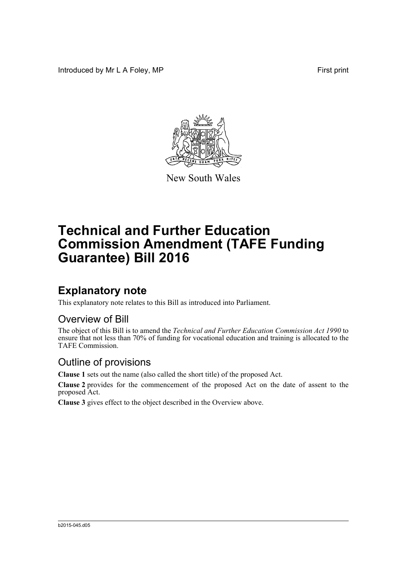Introduced by Mr L A Foley, MP First print



New South Wales

# **Technical and Further Education Commission Amendment (TAFE Funding Guarantee) Bill 2016**

## **Explanatory note**

This explanatory note relates to this Bill as introduced into Parliament.

#### Overview of Bill

The object of this Bill is to amend the *Technical and Further Education Commission Act 1990* to ensure that not less than 70% of funding for vocational education and training is allocated to the TAFE Commission.

#### Outline of provisions

**Clause 1** sets out the name (also called the short title) of the proposed Act.

**Clause 2** provides for the commencement of the proposed Act on the date of assent to the proposed Act.

**Clause 3** gives effect to the object described in the Overview above.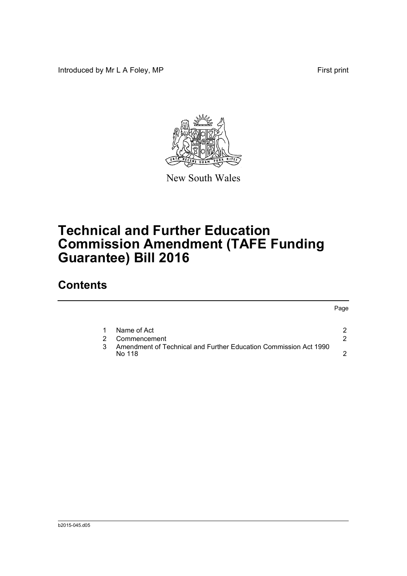Introduced by Mr L A Foley, MP **First** print



New South Wales

# **Technical and Further Education Commission Amendment (TAFE Funding Guarantee) Bill 2016**

### **Contents**

| Name of Act                                                                |   |  |
|----------------------------------------------------------------------------|---|--|
| Commencement                                                               | 2 |  |
| Amendment of Technical and Further Education Commission Act 1990<br>No 118 | ◠ |  |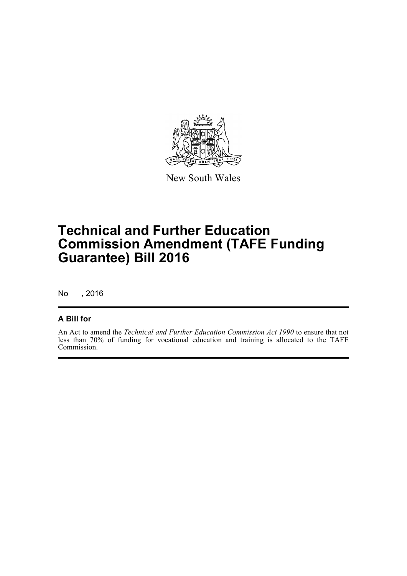

New South Wales

## **Technical and Further Education Commission Amendment (TAFE Funding Guarantee) Bill 2016**

No , 2016

#### **A Bill for**

An Act to amend the *Technical and Further Education Commission Act 1990* to ensure that not less than 70% of funding for vocational education and training is allocated to the TAFE Commission.